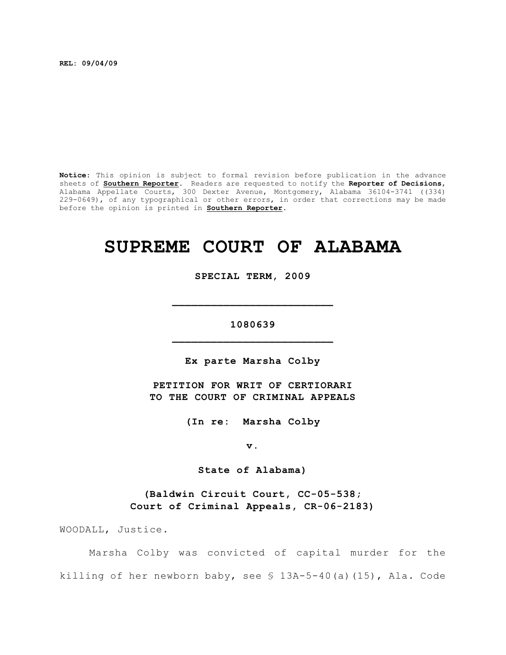**REL: 09/04/09**

**Notice**: This opinion is subject to formal revision before publication in the advance sheets of **Southern Reporter**. Readers are requested to notify the **Reporter of Decisions**, Alabama Appellate Courts, 300 Dexter Avenue, Montgomery, Alabama 36104-3741 ((334) 229-0649), of any typographical or other errors, in order that corrections may be made before the opinion is printed in **Southern Reporter**.

# **SUPREME COURT OF ALABAMA**

**SPECIAL TERM, 2009**

**1080639 \_\_\_\_\_\_\_\_\_\_\_\_\_\_\_\_\_\_\_\_\_\_\_\_\_**

**\_\_\_\_\_\_\_\_\_\_\_\_\_\_\_\_\_\_\_\_\_\_\_\_\_**

**Ex parte Marsha Colby**

**PETITION FOR WRIT OF CERTIORARI TO THE COURT OF CRIMINAL APPEALS**

**(In re: Marsha Colby**

**v.**

**State of Alabama)**

**(Baldwin Circuit Court, CC-05-538; Court of Criminal Appeals, CR-06-2183)**

WOODALL, Justice.

Marsha Colby was convicted of capital murder for the killing of her newborn baby, see § 13A-5-40(a)(15), Ala. Code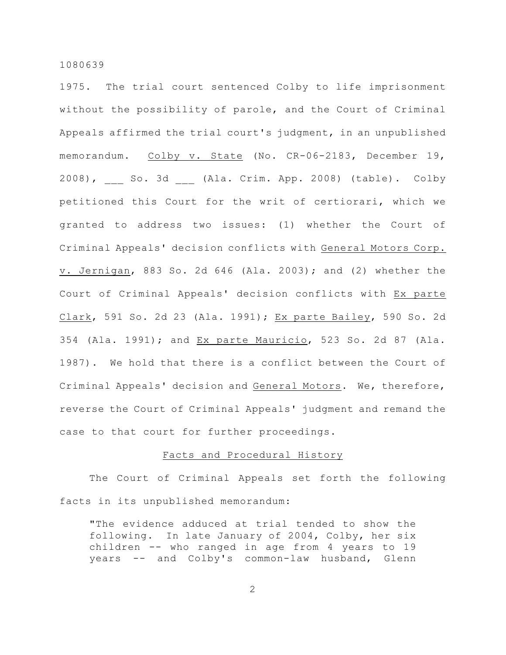1975. The trial court sentenced Colby to life imprisonment without the possibility of parole, and the Court of Criminal Appeals affirmed the trial court's judgment, in an unpublished memorandum. Colby v. State (No. CR-06-2183, December 19, 2008), So. 3d (Ala. Crim. App. 2008) (table). Colby petitioned this Court for the writ of certiorari, which we granted to address two issues: (1) whether the Court of Criminal Appeals' decision conflicts with General Motors Corp. v. Jernigan, 883 So. 2d 646 (Ala. 2003); and (2) whether the Court of Criminal Appeals' decision conflicts with Ex parte Clark, 591 So. 2d 23 (Ala. 1991); Ex parte Bailey, 590 So. 2d 354 (Ala. 1991); and Ex parte Mauricio, 523 So. 2d 87 (Ala. 1987). We hold that there is a conflict between the Court of Criminal Appeals' decision and General Motors. We, therefore, reverse the Court of Criminal Appeals' judgment and remand the case to that court for further proceedings.

# Facts and Procedural History

The Court of Criminal Appeals set forth the following facts in its unpublished memorandum:

"The evidence adduced at trial tended to show the following. In late January of 2004, Colby, her six children -- who ranged in age from 4 years to 19 years -- and Colby's common-law husband, Glenn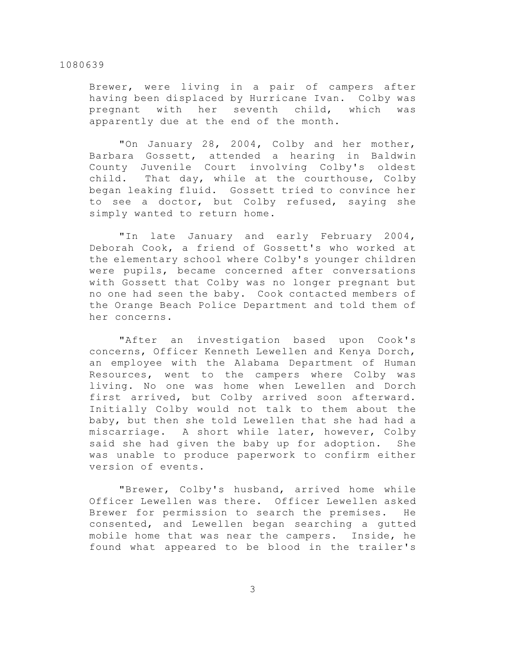Brewer, were living in a pair of campers after having been displaced by Hurricane Ivan. Colby was pregnant with her seventh child, which was apparently due at the end of the month.

"On January 28, 2004, Colby and her mother, Barbara Gossett, attended a hearing in Baldwin County Juvenile Court involving Colby's oldest child. That day, while at the courthouse, Colby began leaking fluid. Gossett tried to convince her to see a doctor, but Colby refused, saying she simply wanted to return home.

"In late January and early February 2004, Deborah Cook, a friend of Gossett's who worked at the elementary school where Colby's younger children were pupils, became concerned after conversations with Gossett that Colby was no longer pregnant but no one had seen the baby. Cook contacted members of the Orange Beach Police Department and told them of her concerns.

"After an investigation based upon Cook's concerns, Officer Kenneth Lewellen and Kenya Dorch, an employee with the Alabama Department of Human Resources, went to the campers where Colby was living. No one was home when Lewellen and Dorch first arrived, but Colby arrived soon afterward. Initially Colby would not talk to them about the baby, but then she told Lewellen that she had had a miscarriage. A short while later, however, Colby said she had given the baby up for adoption. She was unable to produce paperwork to confirm either version of events.

"Brewer, Colby's husband, arrived home while Officer Lewellen was there. Officer Lewellen asked Brewer for permission to search the premises. He consented, and Lewellen began searching a gutted mobile home that was near the campers. Inside, he found what appeared to be blood in the trailer's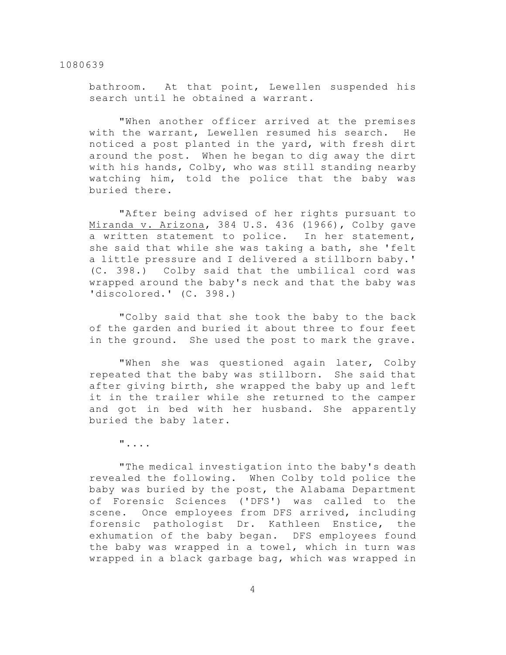bathroom. At that point, Lewellen suspended his search until he obtained a warrant.

"When another officer arrived at the premises with the warrant, Lewellen resumed his search. He noticed a post planted in the yard, with fresh dirt around the post. When he began to dig away the dirt with his hands, Colby, who was still standing nearby watching him, told the police that the baby was buried there.

"After being advised of her rights pursuant to Miranda v. Arizona, 384 U.S. 436 (1966), Colby gave a written statement to police. In her statement, she said that while she was taking a bath, she 'felt a little pressure and I delivered a stillborn baby.' (C. 398.) Colby said that the umbilical cord was wrapped around the baby's neck and that the baby was 'discolored.' (C. 398.)

"Colby said that she took the baby to the back of the garden and buried it about three to four feet in the ground. She used the post to mark the grave.

"When she was questioned again later, Colby repeated that the baby was stillborn. She said that after giving birth, she wrapped the baby up and left it in the trailer while she returned to the camper and got in bed with her husband. She apparently buried the baby later.

"....

"The medical investigation into the baby's death revealed the following. When Colby told police the baby was buried by the post, the Alabama Department of Forensic Sciences ('DFS') was called to the scene. Once employees from DFS arrived, including forensic pathologist Dr. Kathleen Enstice, the exhumation of the baby began. DFS employees found the baby was wrapped in a towel, which in turn was wrapped in a black garbage bag, which was wrapped in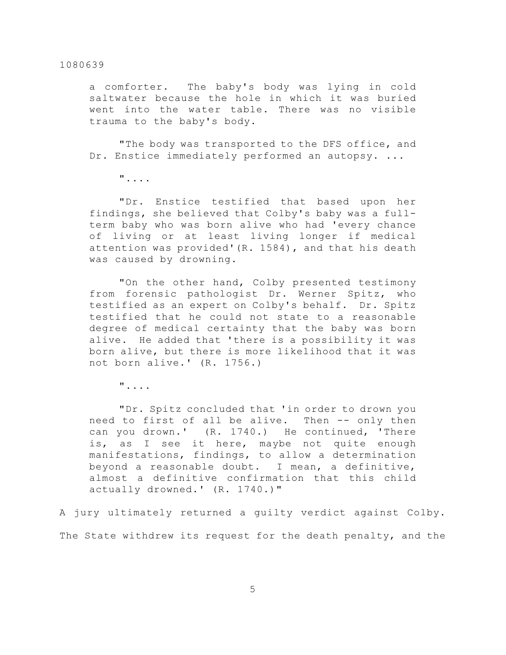a comforter. The baby's body was lying in cold saltwater because the hole in which it was buried went into the water table. There was no visible trauma to the baby's body.

"The body was transported to the DFS office, and Dr. Enstice immediately performed an autopsy. ...

"....

"Dr. Enstice testified that based upon her findings, she believed that Colby's baby was a fullterm baby who was born alive who had 'every chance of living or at least living longer if medical attention was provided'(R. 1584), and that his death was caused by drowning.

"On the other hand, Colby presented testimony from forensic pathologist Dr. Werner Spitz, who testified as an expert on Colby's behalf. Dr. Spitz testified that he could not state to a reasonable degree of medical certainty that the baby was born alive. He added that 'there is a possibility it was born alive, but there is more likelihood that it was not born alive.' (R. 1756.)

"....

"Dr. Spitz concluded that 'in order to drown you need to first of all be alive. Then -- only then can you drown.' (R. 1740.) He continued, 'There is, as I see it here, maybe not quite enough manifestations, findings, to allow a determination beyond a reasonable doubt. I mean, a definitive, almost a definitive confirmation that this child actually drowned.' (R. 1740.)"

A jury ultimately returned a guilty verdict against Colby. The State withdrew its request for the death penalty, and the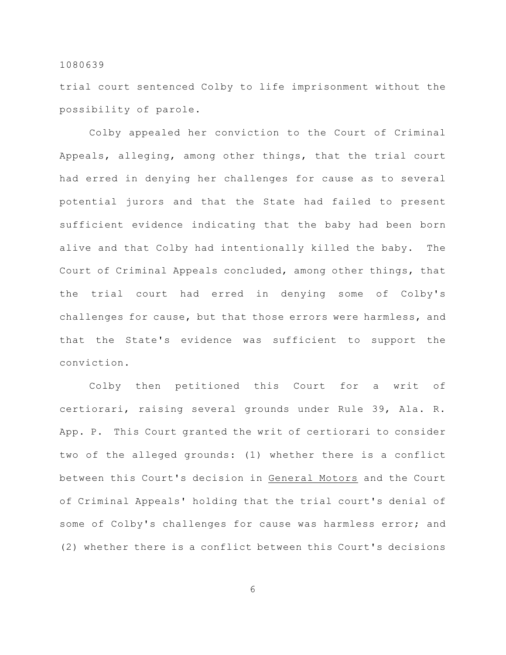trial court sentenced Colby to life imprisonment without the possibility of parole.

Colby appealed her conviction to the Court of Criminal Appeals, alleging, among other things, that the trial court had erred in denying her challenges for cause as to several potential jurors and that the State had failed to present sufficient evidence indicating that the baby had been born alive and that Colby had intentionally killed the baby. The Court of Criminal Appeals concluded, among other things, that the trial court had erred in denying some of Colby's challenges for cause, but that those errors were harmless, and that the State's evidence was sufficient to support the conviction.

Colby then petitioned this Court for a writ of certiorari, raising several grounds under Rule 39, Ala. R. App. P. This Court granted the writ of certiorari to consider two of the alleged grounds: (1) whether there is a conflict between this Court's decision in General Motors and the Court of Criminal Appeals' holding that the trial court's denial of some of Colby's challenges for cause was harmless error; and (2) whether there is a conflict between this Court's decisions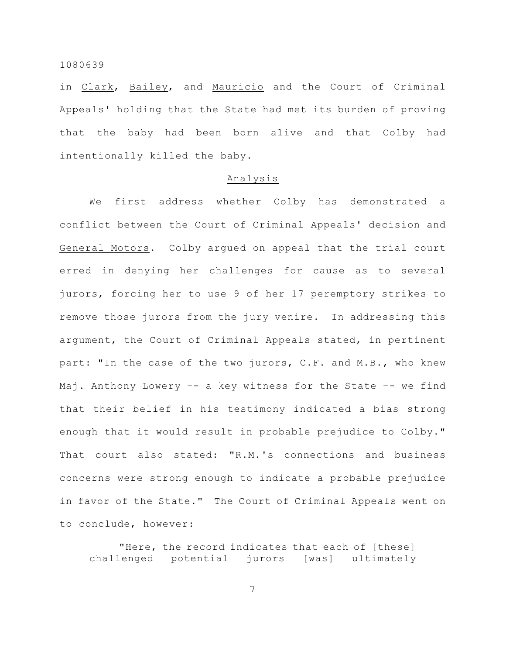in Clark, Bailey, and Mauricio and the Court of Criminal Appeals' holding that the State had met its burden of proving that the baby had been born alive and that Colby had intentionally killed the baby.

#### Analysis

We first address whether Colby has demonstrated a conflict between the Court of Criminal Appeals' decision and General Motors. Colby argued on appeal that the trial court erred in denying her challenges for cause as to several jurors, forcing her to use 9 of her 17 peremptory strikes to remove those jurors from the jury venire. In addressing this argument, the Court of Criminal Appeals stated, in pertinent part: "In the case of the two jurors, C.F. and M.B., who knew Maj. Anthony Lowery –- a key witness for the State –- we find that their belief in his testimony indicated a bias strong enough that it would result in probable prejudice to Colby." That court also stated: "R.M.'s connections and business concerns were strong enough to indicate a probable prejudice in favor of the State." The Court of Criminal Appeals went on to conclude, however:

"Here, the record indicates that each of [these] challenged potential jurors [was] ultimately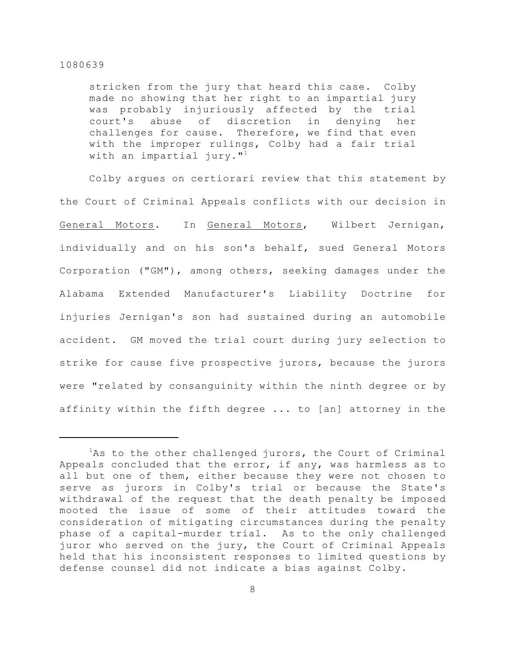stricken from the jury that heard this case. Colby made no showing that her right to an impartial jury was probably injuriously affected by the trial court's abuse of discretion in denying her challenges for cause. Therefore, we find that even with the improper rulings, Colby had a fair trial with an impartial jury. $1<sup>1</sup>$ 

Colby argues on certiorari review that this statement by the Court of Criminal Appeals conflicts with our decision in General Motors. In General Motors, Wilbert Jernigan, individually and on his son's behalf, sued General Motors Corporation ("GM"), among others, seeking damages under the Alabama Extended Manufacturer's Liability Doctrine for injuries Jernigan's son had sustained during an automobile accident. GM moved the trial court during jury selection to strike for cause five prospective jurors, because the jurors were "related by consanguinity within the ninth degree or by affinity within the fifth degree ... to [an] attorney in the

 ${}^{1}$ As to the other challenged jurors, the Court of Criminal Appeals concluded that the error, if any, was harmless as to all but one of them, either because they were not chosen to serve as jurors in Colby's trial or because the State's withdrawal of the request that the death penalty be imposed mooted the issue of some of their attitudes toward the consideration of mitigating circumstances during the penalty phase of a capital-murder trial. As to the only challenged juror who served on the jury, the Court of Criminal Appeals held that his inconsistent responses to limited questions by defense counsel did not indicate a bias against Colby.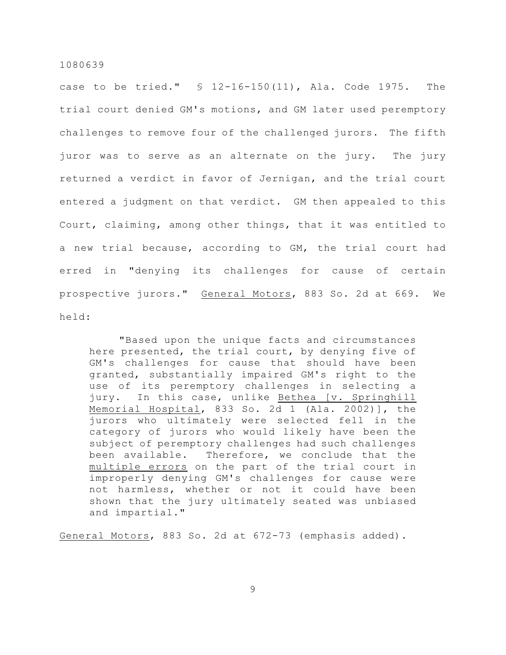case to be tried." § 12-16-150(11), Ala. Code 1975. The trial court denied GM's motions, and GM later used peremptory challenges to remove four of the challenged jurors. The fifth juror was to serve as an alternate on the jury. The jury returned a verdict in favor of Jernigan, and the trial court entered a judgment on that verdict. GM then appealed to this Court, claiming, among other things, that it was entitled to a new trial because, according to GM, the trial court had erred in "denying its challenges for cause of certain prospective jurors." General Motors, 883 So. 2d at 669. We held:

"Based upon the unique facts and circumstances here presented, the trial court, by denying five of GM's challenges for cause that should have been granted, substantially impaired GM's right to the use of its peremptory challenges in selecting a jury. In this case, unlike Bethea [v. Springhill Memorial Hospital, 833 So. 2d 1 (Ala. 2002)], the jurors who ultimately were selected fell in the category of jurors who would likely have been the subject of peremptory challenges had such challenges been available. Therefore, we conclude that the multiple errors on the part of the trial court in improperly denying GM's challenges for cause were not harmless, whether or not it could have been shown that the jury ultimately seated was unbiased and impartial."

General Motors, 883 So. 2d at 672-73 (emphasis added).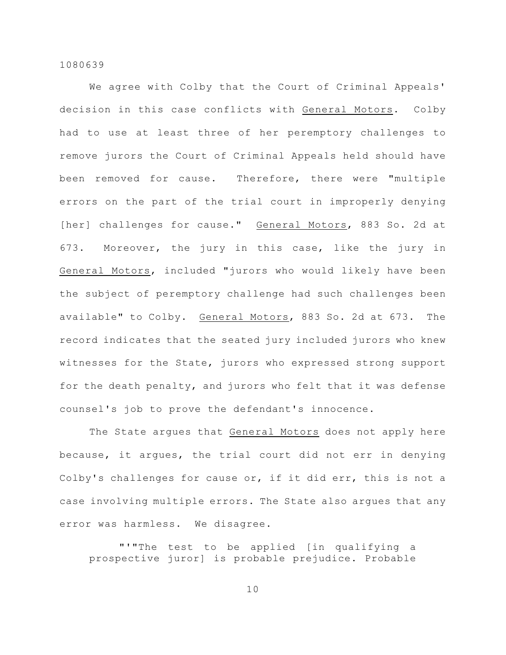We agree with Colby that the Court of Criminal Appeals' decision in this case conflicts with General Motors. Colby had to use at least three of her peremptory challenges to remove jurors the Court of Criminal Appeals held should have been removed for cause. Therefore, there were "multiple errors on the part of the trial court in improperly denying [her] challenges for cause." General Motors, 883 So. 2d at 673. Moreover, the jury in this case, like the jury in General Motors, included "jurors who would likely have been the subject of peremptory challenge had such challenges been available" to Colby. General Motors, 883 So. 2d at 673. The record indicates that the seated jury included jurors who knew witnesses for the State, jurors who expressed strong support for the death penalty, and jurors who felt that it was defense counsel's job to prove the defendant's innocence.

The State argues that General Motors does not apply here because, it argues, the trial court did not err in denying Colby's challenges for cause or, if it did err, this is not a case involving multiple errors. The State also argues that any error was harmless. We disagree.

"'"The test to be applied [in qualifying a prospective juror] is probable prejudice. Probable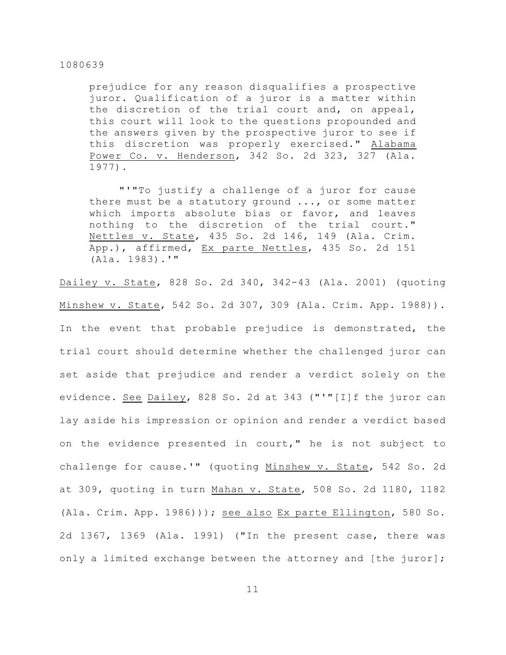prejudice for any reason disqualifies a prospective juror. Qualification of a juror is a matter within the discretion of the trial court and, on appeal, this court will look to the questions propounded and the answers given by the prospective juror to see if this discretion was properly exercised." Alabama Power Co. v. Henderson, 342 So. 2d 323, 327 (Ala. 1977).

"'"To justify a challenge of a juror for cause there must be a statutory ground ..., or some matter which imports absolute bias or favor, and leaves nothing to the discretion of the trial court." Nettles v. State, 435 So. 2d 146, 149 (Ala. Crim. App.), affirmed, Ex parte Nettles, 435 So. 2d 151 (Ala. 1983).'"

Dailey v. State, 828 So. 2d 340, 342-43 (Ala. 2001) (quoting Minshew v. State, 542 So. 2d 307, 309 (Ala. Crim. App. 1988)). In the event that probable prejudice is demonstrated, the trial court should determine whether the challenged juror can set aside that prejudice and render a verdict solely on the evidence. See Dailey, 828 So. 2d at 343 ("'"[I]f the juror can lay aside his impression or opinion and render a verdict based on the evidence presented in court," he is not subject to challenge for cause.'" (quoting Minshew v. State, 542 So. 2d at 309, quoting in turn Mahan v. State, 508 So. 2d 1180, 1182 (Ala. Crim. App. 1986))); see also Ex parte Ellington, 580 So. 2d 1367, 1369 (Ala. 1991) ("In the present case, there was only a limited exchange between the attorney and [the juror];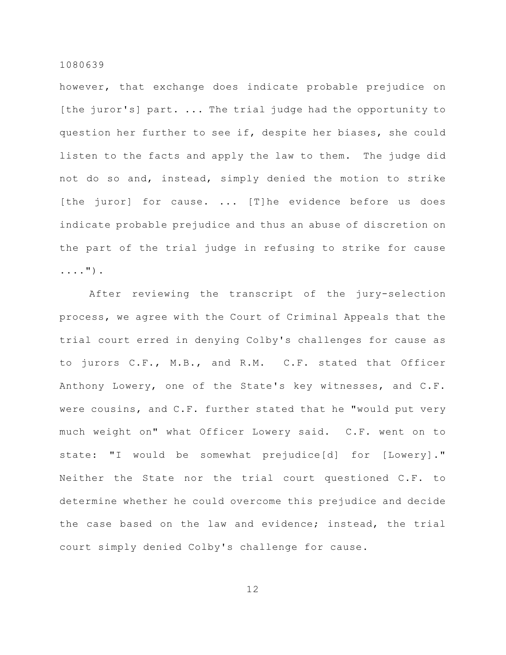however, that exchange does indicate probable prejudice on [the juror's] part. ... The trial judge had the opportunity to question her further to see if, despite her biases, she could listen to the facts and apply the law to them. The judge did not do so and, instead, simply denied the motion to strike [the juror] for cause. ... [T]he evidence before us does indicate probable prejudice and thus an abuse of discretion on the part of the trial judge in refusing to strike for cause ....").

After reviewing the transcript of the jury-selection process, we agree with the Court of Criminal Appeals that the trial court erred in denying Colby's challenges for cause as to jurors C.F., M.B., and R.M. C.F. stated that Officer Anthony Lowery, one of the State's key witnesses, and C.F. were cousins, and C.F. further stated that he "would put very much weight on" what Officer Lowery said. C.F. went on to state: "I would be somewhat prejudice[d] for [Lowery]." Neither the State nor the trial court questioned C.F. to determine whether he could overcome this prejudice and decide the case based on the law and evidence; instead, the trial court simply denied Colby's challenge for cause.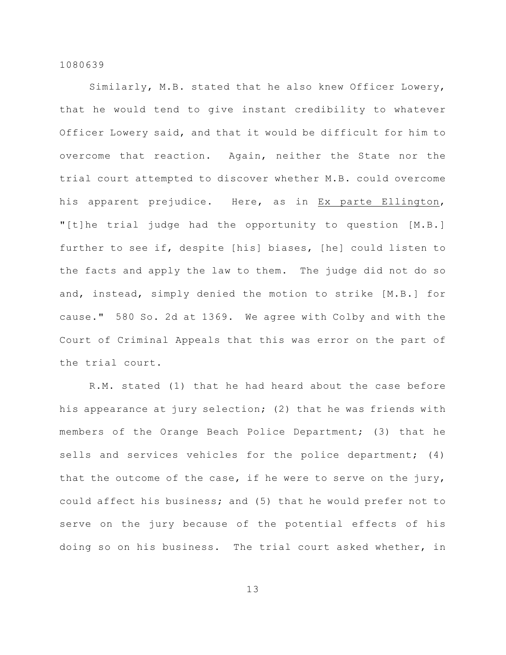Similarly, M.B. stated that he also knew Officer Lowery, that he would tend to give instant credibility to whatever Officer Lowery said, and that it would be difficult for him to overcome that reaction. Again, neither the State nor the trial court attempted to discover whether M.B. could overcome his apparent prejudice. Here, as in Ex parte Ellington, "[t]he trial judge had the opportunity to question [M.B.] further to see if, despite [his] biases, [he] could listen to the facts and apply the law to them. The judge did not do so and, instead, simply denied the motion to strike [M.B.] for cause." 580 So. 2d at 1369. We agree with Colby and with the Court of Criminal Appeals that this was error on the part of the trial court.

R.M. stated (1) that he had heard about the case before his appearance at jury selection; (2) that he was friends with members of the Orange Beach Police Department; (3) that he sells and services vehicles for the police department; (4) that the outcome of the case, if he were to serve on the jury, could affect his business; and (5) that he would prefer not to serve on the jury because of the potential effects of his doing so on his business. The trial court asked whether, in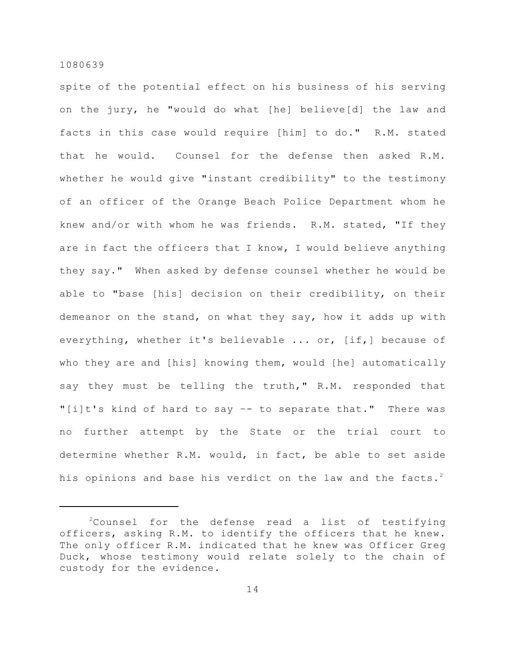spite of the potential effect on his business of his serving on the jury, he "would do what [he] believe[d] the law and facts in this case would require [him] to do." R.M. stated that he would. Counsel for the defense then asked R.M. whether he would give "instant credibility" to the testimony of an officer of the Orange Beach Police Department whom he knew and/or with whom he was friends. R.M. stated, "If they are in fact the officers that I know, I would believe anything they say." When asked by defense counsel whether he would be able to "base [his] decision on their credibility, on their demeanor on the stand, on what they say, how it adds up with everything, whether it's believable ... or, [if,] because of who they are and [his] knowing them, would [he] automatically say they must be telling the truth," R.M. responded that "[i]t's kind of hard to say –- to separate that." There was no further attempt by the State or the trial court to determine whether R.M. would, in fact, be able to set aside his opinions and base his verdict on the law and the facts.<sup>2</sup>

 $2$ Counsel for the defense read a list of testifying officers, asking R.M. to identify the officers that he knew. The only officer R.M. indicated that he knew was Officer Greg Duck, whose testimony would relate solely to the chain of custody for the evidence.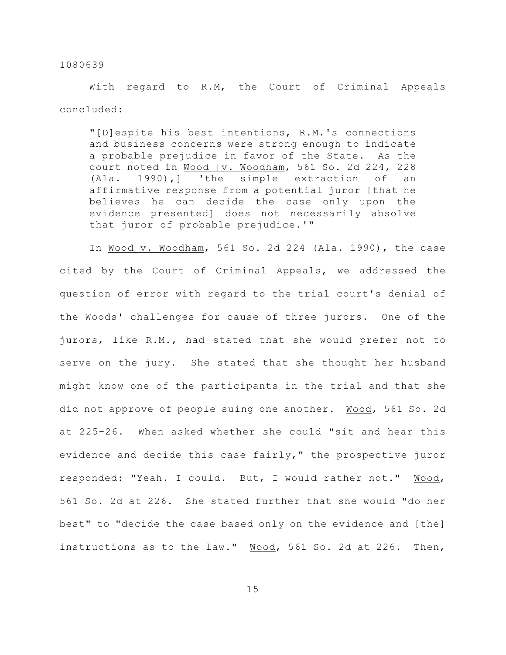With regard to R.M, the Court of Criminal Appeals concluded:

"[D]espite his best intentions, R.M.'s connections and business concerns were strong enough to indicate a probable prejudice in favor of the State. As the court noted in Wood [v. Woodham, 561 So. 2d 224, 228 (Ala. 1990),] 'the simple extraction of an affirmative response from a potential juror [that he believes he can decide the case only upon the evidence presented] does not necessarily absolve that juror of probable prejudice.'"

In Wood v. Woodham, 561 So. 2d 224 (Ala. 1990), the case cited by the Court of Criminal Appeals, we addressed the question of error with regard to the trial court's denial of the Woods' challenges for cause of three jurors. One of the jurors, like R.M., had stated that she would prefer not to serve on the jury. She stated that she thought her husband might know one of the participants in the trial and that she did not approve of people suing one another. Wood, 561 So. 2d at 225-26. When asked whether she could "sit and hear this evidence and decide this case fairly," the prospective juror responded: "Yeah. I could. But, I would rather not." Wood, 561 So. 2d at 226. She stated further that she would "do her best" to "decide the case based only on the evidence and [the] instructions as to the law." Wood, 561 So. 2d at 226. Then,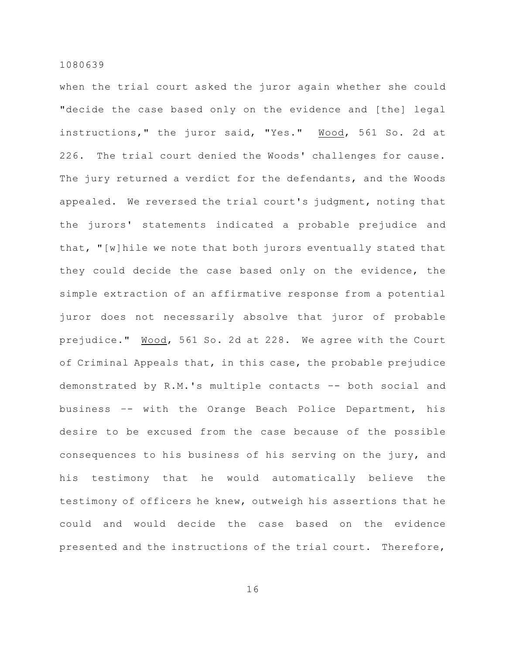when the trial court asked the juror again whether she could "decide the case based only on the evidence and [the] legal instructions," the juror said, "Yes." Wood, 561 So. 2d at 226. The trial court denied the Woods' challenges for cause. The jury returned a verdict for the defendants, and the Woods appealed. We reversed the trial court's judgment, noting that the jurors' statements indicated a probable prejudice and that, "[w]hile we note that both jurors eventually stated that they could decide the case based only on the evidence, the simple extraction of an affirmative response from a potential juror does not necessarily absolve that juror of probable prejudice." Wood, 561 So. 2d at 228. We agree with the Court of Criminal Appeals that, in this case, the probable prejudice demonstrated by R.M.'s multiple contacts –- both social and business –- with the Orange Beach Police Department, his desire to be excused from the case because of the possible consequences to his business of his serving on the jury, and his testimony that he would automatically believe the testimony of officers he knew, outweigh his assertions that he could and would decide the case based on the evidence presented and the instructions of the trial court. Therefore,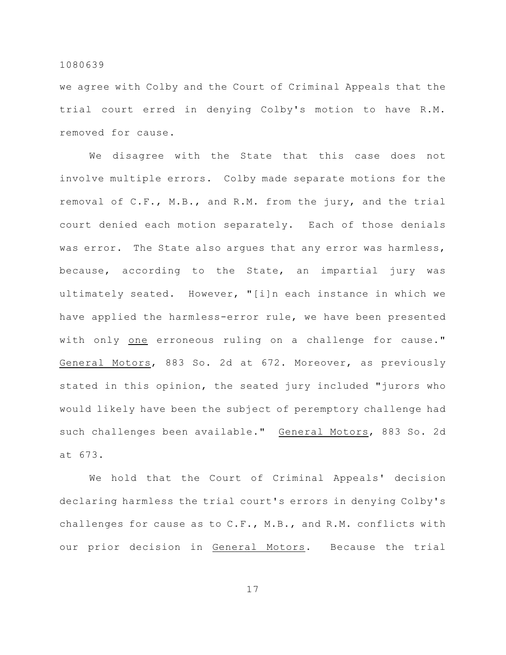we agree with Colby and the Court of Criminal Appeals that the trial court erred in denying Colby's motion to have R.M. removed for cause.

We disagree with the State that this case does not involve multiple errors. Colby made separate motions for the removal of C.F., M.B., and R.M. from the jury, and the trial court denied each motion separately. Each of those denials was error. The State also argues that any error was harmless, because, according to the State, an impartial jury was ultimately seated. However, "[i]n each instance in which we have applied the harmless-error rule, we have been presented with only one erroneous ruling on a challenge for cause." General Motors, 883 So. 2d at 672. Moreover, as previously stated in this opinion, the seated jury included "jurors who would likely have been the subject of peremptory challenge had such challenges been available." General Motors, 883 So. 2d at 673.

We hold that the Court of Criminal Appeals' decision declaring harmless the trial court's errors in denying Colby's challenges for cause as to C.F., M.B., and R.M. conflicts with our prior decision in General Motors. Because the trial